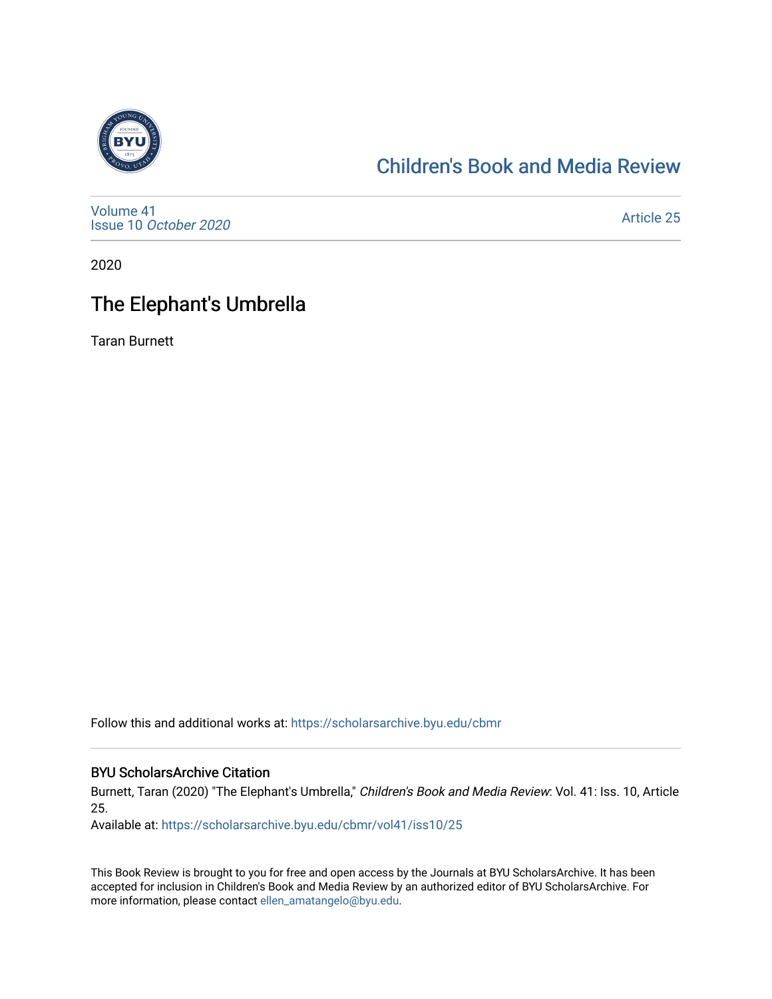

### [Children's Book and Media Review](https://scholarsarchive.byu.edu/cbmr)

[Volume 41](https://scholarsarchive.byu.edu/cbmr/vol41) Issue 10 [October 2020](https://scholarsarchive.byu.edu/cbmr/vol41/iss10)

[Article 25](https://scholarsarchive.byu.edu/cbmr/vol41/iss10/25) 

2020

## The Elephant's Umbrella

Taran Burnett

Follow this and additional works at: [https://scholarsarchive.byu.edu/cbmr](https://scholarsarchive.byu.edu/cbmr?utm_source=scholarsarchive.byu.edu%2Fcbmr%2Fvol41%2Fiss10%2F25&utm_medium=PDF&utm_campaign=PDFCoverPages) 

#### BYU ScholarsArchive Citation

Burnett, Taran (2020) "The Elephant's Umbrella," Children's Book and Media Review: Vol. 41: Iss. 10, Article 25.

Available at: [https://scholarsarchive.byu.edu/cbmr/vol41/iss10/25](https://scholarsarchive.byu.edu/cbmr/vol41/iss10/25?utm_source=scholarsarchive.byu.edu%2Fcbmr%2Fvol41%2Fiss10%2F25&utm_medium=PDF&utm_campaign=PDFCoverPages) 

This Book Review is brought to you for free and open access by the Journals at BYU ScholarsArchive. It has been accepted for inclusion in Children's Book and Media Review by an authorized editor of BYU ScholarsArchive. For more information, please contact [ellen\\_amatangelo@byu.edu.](mailto:ellen_amatangelo@byu.edu)